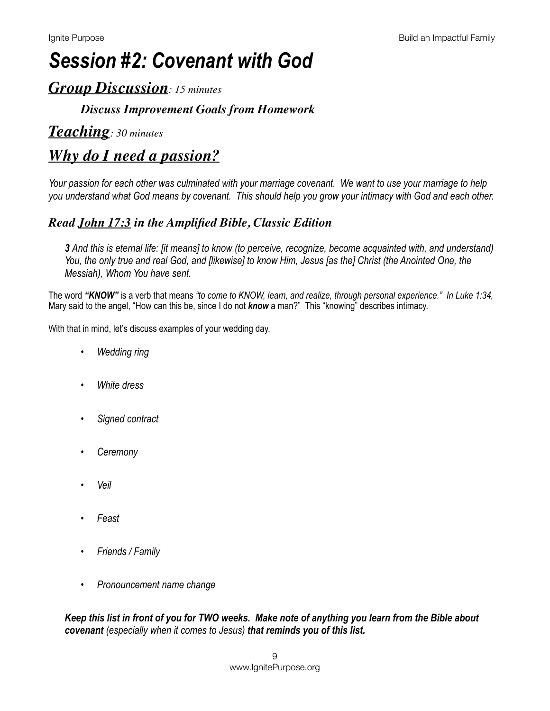# *Session #2: Covenant with God*

### *Group Discussion: 15 minutes*

### *Discuss Improvement Goals from Homework*

### *Teaching: 30 minutes*

# *Why do I need a passion?*

*Your passion for each other was culminated with your marriage covenant. We want to use your marriage to help you understand what God means by covenant. This should help you grow your intimacy with God and each other.* 

### *Read [John 17:3](https://www.biblegateway.com/passage/?search=john+17:3&version=AMPC) in the Amplified Bible, Classic Edition*

*3 And this is eternal life: [it means] to know (to perceive, recognize, become acquainted with, and understand) You, the only true and real God, and [likewise] to know Him, Jesus [as the] Christ (the Anointed One, the Messiah), Whom You have sent.* 

The word *"KNOW"* is a verb that means *"to come to KNOW, learn, and realize, through personal experience." In Luke 1:34,*  Mary said to the angel, "How can this be, since I do not **know** a man?" This "knowing" describes intimacy.

With that in mind, let's discuss examples of your wedding day.

- *• Wedding ring*
- *• White dress*
- *• Signed contract*
- *• Ceremony*
- *• Veil*
- *• Feast*
- *• Friends / Family*
- *• Pronouncement name change*

*Keep this list in front of you for TWO weeks. Make note of anything you learn from the Bible about covenant (especially when it comes to Jesus) that reminds you of this list.*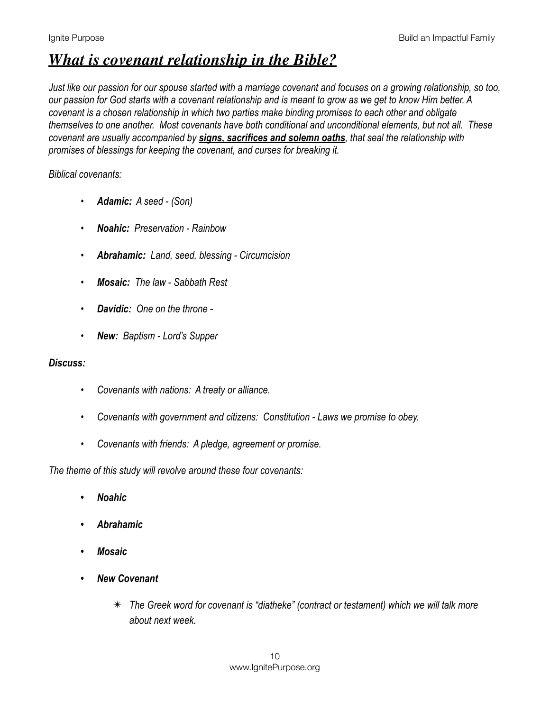# *What is covenant relationship in the Bible?*

*Just like our passion for our spouse started with a marriage covenant and focuses on a growing relationship, so too, our passion for God starts with a covenant relationship and is meant to grow as we get to know Him better. A covenant is a chosen relationship in which two parties make binding promises to each other and obligate themselves to one another. Most covenants have both conditional and unconditional elements, but not all. These covenant are usually accompanied by signs, sacrifices and solemn oaths, that seal the relationship with promises of blessings for keeping the covenant, and curses for breaking it.* 

#### *Biblical covenants:*

- *• Adamic: A seed (Son)*
- *• Noahic: Preservation Rainbow*
- *• Abrahamic: Land, seed, blessing Circumcision*
- *• Mosaic: The law Sabbath Rest*
- *• Davidic: One on the throne*
- *• New: Baptism Lord's Supper*

#### *Discuss:*

- *• Covenants with nations: A treaty or alliance.*
- *• Covenants with government and citizens: Constitution Laws we promise to obey.*
- *• Covenants with friends: A pledge, agreement or promise.*

*The theme of this study will revolve around these four covenants:* 

- *• Noahic*
- *• Abrahamic*
- *• Mosaic*
- *• New Covenant* 
	- ✴ *The Greek word for covenant is "diatheke" (contract or testament) which we will talk more about next week.*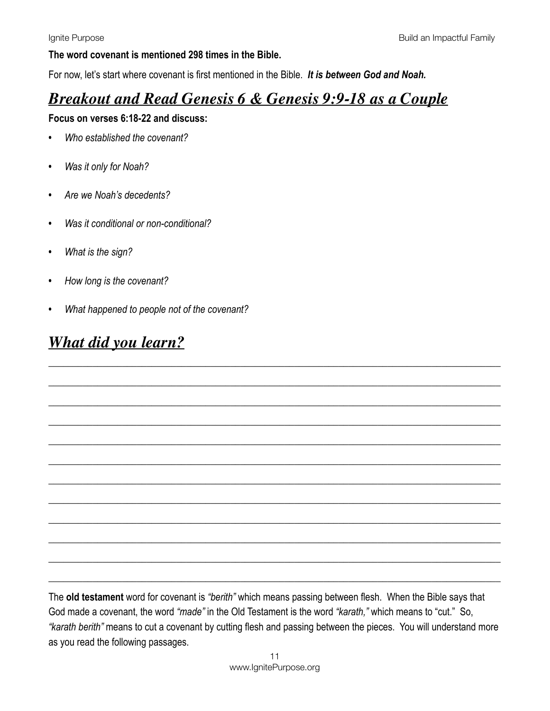#### **The word covenant is mentioned 298 times in the Bible.**

For now, let's start where covenant is first mentioned in the Bible. *It is between God and Noah.* 

# *Breakout and Read Genesis 6 & Genesis 9:9-18 as a Couple*

#### **Focus on verses 6:18-22 and discuss:**

- *• Who established the covenant?*
- *• Was it only for Noah?*
- *• Are we Noah's decedents?*
- *• Was it conditional or non-conditional?*
- *• What is the sign?*
- *• How long is the covenant?*
- *• What happened to people not of the covenant?*

### *What did you learn?*

The **old testament** word for covenant is *"berith"* which means passing between flesh. When the Bible says that God made a covenant, the word *"made"* in the Old Testament is the word *"karath,"* which means to "cut." So, *"karath berith"* means to cut a covenant by cutting flesh and passing between the pieces. You will understand more as you read the following passages.

\_\_\_\_\_\_\_\_\_\_\_\_\_\_\_\_\_\_\_\_\_\_\_\_\_\_\_\_\_\_\_\_\_\_\_\_\_\_\_\_\_\_\_\_\_\_\_\_\_\_\_\_\_\_\_\_\_\_\_\_\_\_\_\_\_\_\_\_\_\_\_\_\_\_\_\_\_\_\_\_\_\_\_\_\_\_\_\_\_\_\_\_

\_\_\_\_\_\_\_\_\_\_\_\_\_\_\_\_\_\_\_\_\_\_\_\_\_\_\_\_\_\_\_\_\_\_\_\_\_\_\_\_\_\_\_\_\_\_\_\_\_\_\_\_\_\_\_\_\_\_\_\_\_\_\_\_\_\_\_\_\_\_\_\_\_\_\_\_\_\_\_\_\_\_\_\_\_\_\_\_\_\_\_\_

\_\_\_\_\_\_\_\_\_\_\_\_\_\_\_\_\_\_\_\_\_\_\_\_\_\_\_\_\_\_\_\_\_\_\_\_\_\_\_\_\_\_\_\_\_\_\_\_\_\_\_\_\_\_\_\_\_\_\_\_\_\_\_\_\_\_\_\_\_\_\_\_\_\_\_\_\_\_\_\_\_\_\_\_\_\_\_\_\_\_\_\_

\_\_\_\_\_\_\_\_\_\_\_\_\_\_\_\_\_\_\_\_\_\_\_\_\_\_\_\_\_\_\_\_\_\_\_\_\_\_\_\_\_\_\_\_\_\_\_\_\_\_\_\_\_\_\_\_\_\_\_\_\_\_\_\_\_\_\_\_\_\_\_\_\_\_\_\_\_\_\_\_\_\_\_\_\_\_\_\_\_\_\_\_

\_\_\_\_\_\_\_\_\_\_\_\_\_\_\_\_\_\_\_\_\_\_\_\_\_\_\_\_\_\_\_\_\_\_\_\_\_\_\_\_\_\_\_\_\_\_\_\_\_\_\_\_\_\_\_\_\_\_\_\_\_\_\_\_\_\_\_\_\_\_\_\_\_\_\_\_\_\_\_\_\_\_\_\_\_\_\_\_\_\_\_\_

\_\_\_\_\_\_\_\_\_\_\_\_\_\_\_\_\_\_\_\_\_\_\_\_\_\_\_\_\_\_\_\_\_\_\_\_\_\_\_\_\_\_\_\_\_\_\_\_\_\_\_\_\_\_\_\_\_\_\_\_\_\_\_\_\_\_\_\_\_\_\_\_\_\_\_\_\_\_\_\_\_\_\_\_\_\_\_\_\_\_\_\_

\_\_\_\_\_\_\_\_\_\_\_\_\_\_\_\_\_\_\_\_\_\_\_\_\_\_\_\_\_\_\_\_\_\_\_\_\_\_\_\_\_\_\_\_\_\_\_\_\_\_\_\_\_\_\_\_\_\_\_\_\_\_\_\_\_\_\_\_\_\_\_\_\_\_\_\_\_\_\_\_\_\_\_\_\_\_\_\_\_\_\_\_

\_\_\_\_\_\_\_\_\_\_\_\_\_\_\_\_\_\_\_\_\_\_\_\_\_\_\_\_\_\_\_\_\_\_\_\_\_\_\_\_\_\_\_\_\_\_\_\_\_\_\_\_\_\_\_\_\_\_\_\_\_\_\_\_\_\_\_\_\_\_\_\_\_\_\_\_\_\_\_\_\_\_\_\_\_\_\_\_\_\_\_\_

\_\_\_\_\_\_\_\_\_\_\_\_\_\_\_\_\_\_\_\_\_\_\_\_\_\_\_\_\_\_\_\_\_\_\_\_\_\_\_\_\_\_\_\_\_\_\_\_\_\_\_\_\_\_\_\_\_\_\_\_\_\_\_\_\_\_\_\_\_\_\_\_\_\_\_\_\_\_\_\_\_\_\_\_\_\_\_\_\_\_\_\_

\_\_\_\_\_\_\_\_\_\_\_\_\_\_\_\_\_\_\_\_\_\_\_\_\_\_\_\_\_\_\_\_\_\_\_\_\_\_\_\_\_\_\_\_\_\_\_\_\_\_\_\_\_\_\_\_\_\_\_\_\_\_\_\_\_\_\_\_\_\_\_\_\_\_\_\_\_\_\_\_\_\_\_\_\_\_\_\_\_\_\_\_

\_\_\_\_\_\_\_\_\_\_\_\_\_\_\_\_\_\_\_\_\_\_\_\_\_\_\_\_\_\_\_\_\_\_\_\_\_\_\_\_\_\_\_\_\_\_\_\_\_\_\_\_\_\_\_\_\_\_\_\_\_\_\_\_\_\_\_\_\_\_\_\_\_\_\_\_\_\_\_\_\_\_\_\_\_\_\_\_\_\_\_\_

\_\_\_\_\_\_\_\_\_\_\_\_\_\_\_\_\_\_\_\_\_\_\_\_\_\_\_\_\_\_\_\_\_\_\_\_\_\_\_\_\_\_\_\_\_\_\_\_\_\_\_\_\_\_\_\_\_\_\_\_\_\_\_\_\_\_\_\_\_\_\_\_\_\_\_\_\_\_\_\_\_\_\_\_\_\_\_\_\_\_\_\_